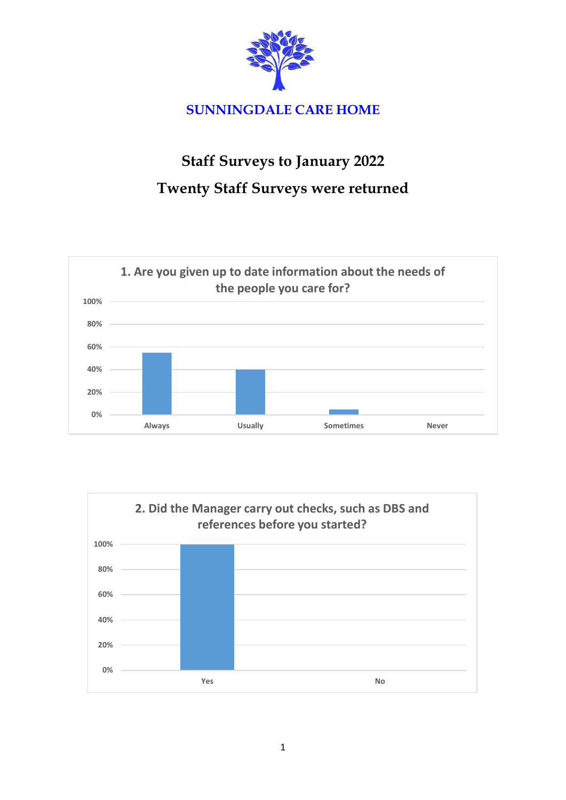

## **Staff Surveys to January 2022 Twenty Staff Surveys were returned**



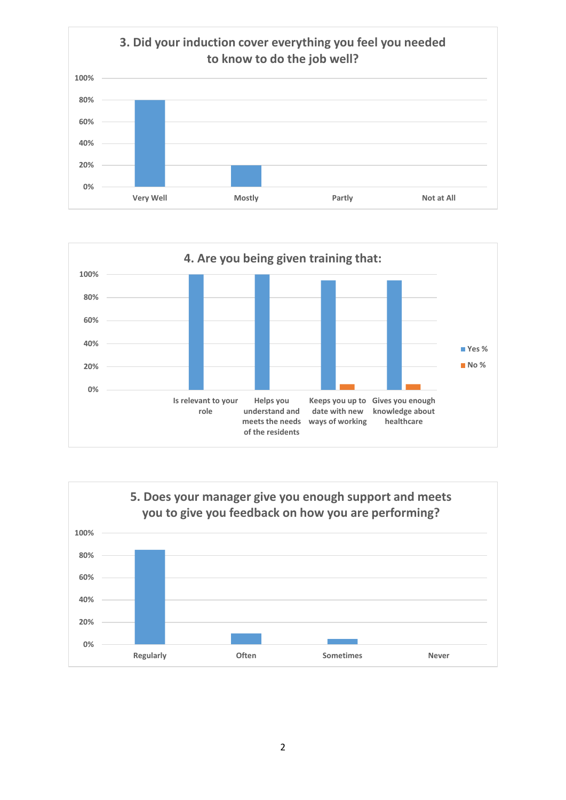



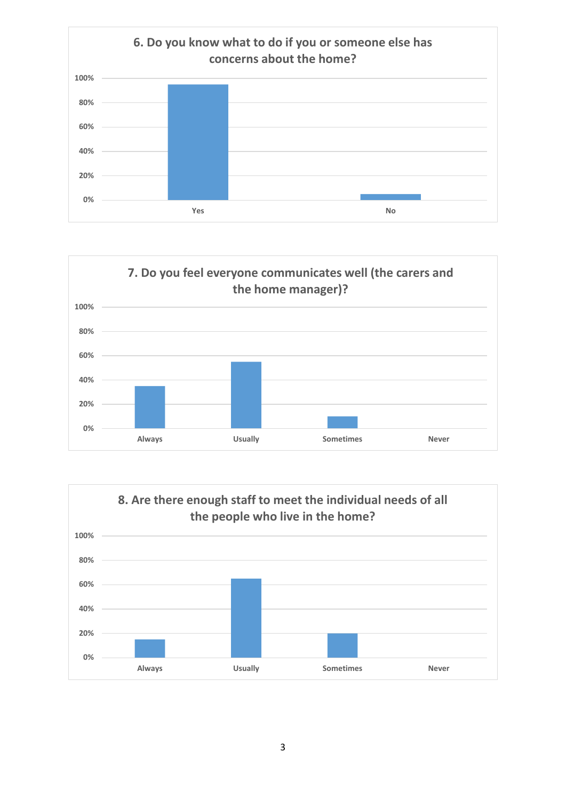



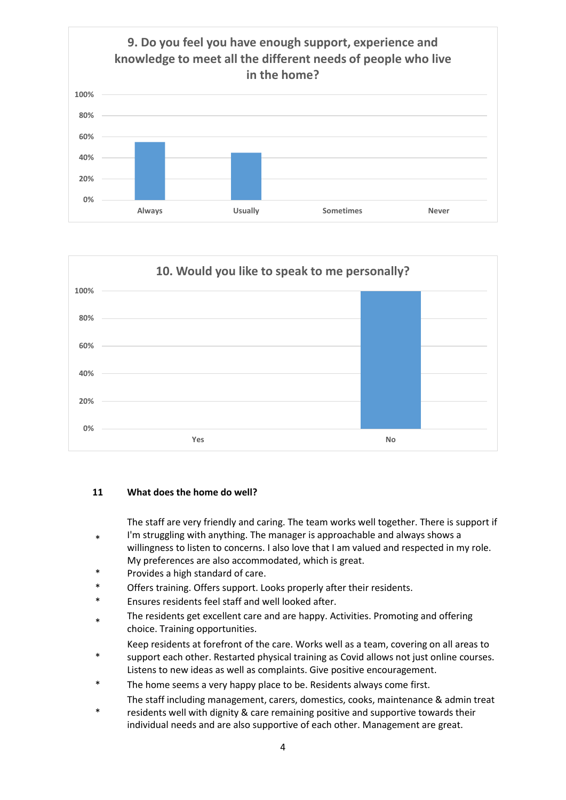



## **11 What does the home do well?**

The staff are very friendly and caring. The team works well together. There is support if

- \* I'm struggling with anything. The manager is approachable and always shows a willingness to listen to concerns. I also love that I am valued and respected in my role. My preferences are also accommodated, which is great.
- \* Provides a high standard of care.
- \* Offers training. Offers support. Looks properly after their residents.
- \* Ensures residents feel staff and well looked after.
- \* The residents get excellent care and are happy. Activities. Promoting and offering choice. Training opportunities.
	- Keep residents at forefront of the care. Works well as a team, covering on all areas to
- \* support each other. Restarted physical training as Covid allows not just online courses. Listens to new ideas as well as complaints. Give positive encouragement.
- The home seems a very happy place to be. Residents always come first. The staff including management, carers, domestics, cooks, maintenance & admin treat
- \* residents well with dignity & care remaining positive and supportive towards their individual needs and are also supportive of each other. Management are great.